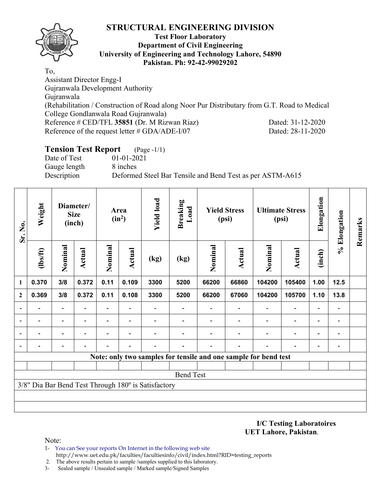

#### **Test Floor Laboratory Department of Civil Engineering University of Engineering and Technology Lahore, 54890 Pakistan. Ph: 92-42-99029202**

To, Assistant Director Engg-I Gujranwala Development Authority Gujranwala (Rehabilitation / Construction of Road along Noor Pur Distributary from G.T. Road to Medical College Gondlanwala Road Gujranwala) Reference # CED/TFL **35851** (Dr. M Rizwan Riaz) Dated: 31-12-2020 Reference of the request letter # GDA/ADE-I/07 Dated: 28-11-2020

# **Tension Test Report** (Page -1/1) Date of Test 01-01-2021 Gauge length 8 inches Description Deformed Steel Bar Tensile and Bend Test as per ASTM-A615

| Sr. No.<br>1 | Weight                                              |                          | Diameter/<br><b>Size</b><br>(inch) |                          | Area<br>$(in^2)$ | <b>Yield load</b> | <b>Breaking</b><br>Load  |         | <b>Yield Stress</b><br>(psi) |                                                                 | <b>Ultimate Stress</b><br>(psi) | Elongation               | % Elongation                 | Remarks |
|--------------|-----------------------------------------------------|--------------------------|------------------------------------|--------------------------|------------------|-------------------|--------------------------|---------|------------------------------|-----------------------------------------------------------------|---------------------------------|--------------------------|------------------------------|---------|
|              | (1bs/ft)                                            | Nominal                  | Actual                             | Nominal                  | Actual           | (kg)              | (kg)                     | Nominal | Actual                       | Nominal                                                         | <b>Actual</b>                   | (inch)                   |                              |         |
|              | 0.370                                               | 3/8                      | 0.372                              | 0.11                     | 0.109            | 3300              | 5200                     | 66200   | 66860                        | 104200                                                          | 105400                          | 1.00                     | 12.5                         |         |
| $\mathbf{2}$ | 0.369                                               | 3/8                      | 0.372                              | 0.11                     | 0.108            | 3300              | 5200                     | 66200   | 67060                        | 104200                                                          | 105700                          | 1.10                     | 13.8                         |         |
|              |                                                     |                          |                                    | $\overline{\phantom{0}}$ |                  |                   |                          |         |                              |                                                                 | $\overline{\phantom{0}}$        | $\overline{\phantom{0}}$ |                              |         |
|              |                                                     | $\overline{\phantom{0}}$ | $\overline{\phantom{0}}$           | $\overline{\phantom{a}}$ | -                |                   | $\overline{\phantom{0}}$ |         | $\overline{\phantom{a}}$     | $\overline{\phantom{a}}$                                        | $\overline{a}$                  | $\overline{\phantom{a}}$ | $\qquad \qquad \blacksquare$ |         |
|              |                                                     |                          |                                    |                          |                  |                   |                          |         |                              |                                                                 | $\overline{\phantom{0}}$        | $\overline{\phantom{0}}$ |                              |         |
|              |                                                     |                          |                                    |                          |                  |                   |                          |         |                              |                                                                 |                                 | $\overline{\phantom{0}}$ |                              |         |
|              |                                                     |                          |                                    |                          |                  |                   |                          |         |                              | Note: only two samples for tensile and one sample for bend test |                                 |                          |                              |         |
|              |                                                     |                          |                                    |                          |                  |                   |                          |         |                              |                                                                 |                                 |                          |                              |         |
|              |                                                     |                          |                                    |                          |                  |                   | <b>Bend Test</b>         |         |                              |                                                                 |                                 |                          |                              |         |
|              | 3/8" Dia Bar Bend Test Through 180° is Satisfactory |                          |                                    |                          |                  |                   |                          |         |                              |                                                                 |                                 |                          |                              |         |
|              |                                                     |                          |                                    |                          |                  |                   |                          |         |                              |                                                                 |                                 |                          |                              |         |
|              |                                                     |                          |                                    |                          |                  |                   |                          |         |                              |                                                                 |                                 |                          |                              |         |

**I/C Testing Laboratoires UET Lahore, Pakistan**.

Note:

1- You can See your reports On Internet in the following web site http://www.uet.edu.pk/faculties/facultiesinfo/civil/index.html?RID=testing\_reports

2. The above results pertain to sample /samples supplied to this laboratory.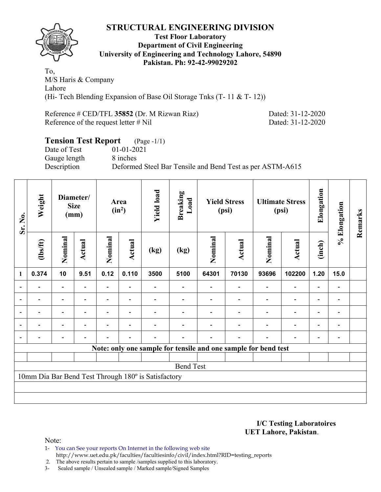

#### **Test Floor Laboratory Department of Civil Engineering University of Engineering and Technology Lahore, 54890 Pakistan. Ph: 92-42-99029202**

To, M/S Haris & Company Lahore (Hi- Tech Blending Expansion of Base Oil Storage Tnks (T- 11 & T- 12))

Reference # CED/TFL **35852** (Dr. M Rizwan Riaz) Dated: 31-12-2020 Reference of the request letter # Nil Dated: 31-12-2020

### **Tension Test Report** (Page -1/1) Date of Test 01-01-2021 Gauge length 8 inches Description Deformed Steel Bar Tensile and Bend Test as per ASTM-A615

| Sr. No.        | Weight                                              |                          | Diameter/<br><b>Size</b><br>(mm) |                | Area<br>$(in^2)$ | <b>Yield load</b> | <b>Breaking</b><br>Load                                        |         | <b>Yield Stress</b><br>(psi) |         | <b>Ultimate Stress</b><br>(psi) | Elongation               | % Elongation | Remarks |
|----------------|-----------------------------------------------------|--------------------------|----------------------------------|----------------|------------------|-------------------|----------------------------------------------------------------|---------|------------------------------|---------|---------------------------------|--------------------------|--------------|---------|
|                | $\frac{2}{10}$                                      | Nominal                  | <b>Actual</b>                    | Nominal        | Actual           | (kg)              | (kg)                                                           | Nominal | Actual                       | Nominal | Actual                          | (inch)                   |              |         |
| $\mathbf{1}$   | 0.374                                               | 10                       | 9.51                             | 0.12           | 0.110            | 3500              | 5100                                                           | 64301   | 70130                        | 93696   | 102200                          | 1.20                     | 15.0         |         |
|                |                                                     |                          |                                  |                |                  |                   |                                                                |         |                              |         | $\overline{\phantom{0}}$        | $\overline{a}$           |              |         |
|                |                                                     | $\overline{a}$           |                                  |                | $\blacksquare$   |                   |                                                                |         |                              |         | $\overline{\phantom{0}}$        | $\overline{\phantom{0}}$ |              |         |
| $\blacksquare$ |                                                     | $\overline{\phantom{0}}$ | $\blacksquare$                   |                | $\blacksquare$   |                   |                                                                |         |                              |         | $\overline{\phantom{0}}$        | $\blacksquare$           |              |         |
|                | -                                                   | $\overline{\phantom{0}}$ |                                  | $\blacksquare$ | $\blacksquare$   |                   |                                                                |         |                              |         | $\overline{\phantom{0}}$        | $\overline{\phantom{0}}$ |              |         |
|                |                                                     |                          |                                  |                |                  |                   |                                                                |         |                              |         |                                 |                          |              |         |
|                |                                                     |                          |                                  |                |                  |                   | Note: only one sample for tensile and one sample for bend test |         |                              |         |                                 |                          |              |         |
|                |                                                     |                          |                                  |                |                  |                   |                                                                |         |                              |         |                                 |                          |              |         |
|                | <b>Bend Test</b>                                    |                          |                                  |                |                  |                   |                                                                |         |                              |         |                                 |                          |              |         |
|                | 10mm Dia Bar Bend Test Through 180° is Satisfactory |                          |                                  |                |                  |                   |                                                                |         |                              |         |                                 |                          |              |         |
|                |                                                     |                          |                                  |                |                  |                   |                                                                |         |                              |         |                                 |                          |              |         |
|                |                                                     |                          |                                  |                |                  |                   |                                                                |         |                              |         |                                 |                          |              |         |

**I/C Testing Laboratoires UET Lahore, Pakistan**.

Note:

- 1- You can See your reports On Internet in the following web site http://www.uet.edu.pk/faculties/facultiesinfo/civil/index.html?RID=testing\_reports
- 2. The above results pertain to sample /samples supplied to this laboratory.
- 3- Sealed sample / Unsealed sample / Marked sample/Signed Samples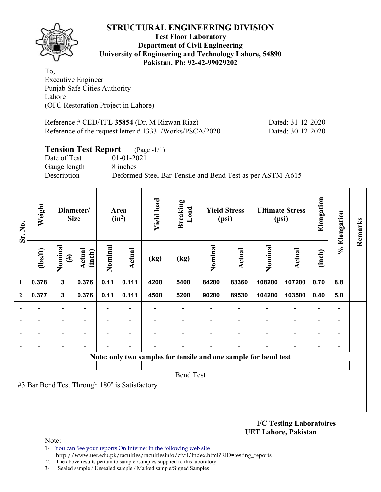

#### **Test Floor Laboratory Department of Civil Engineering University of Engineering and Technology Lahore, 54890 Pakistan. Ph: 92-42-99029202**

To, Executive Engineer Punjab Safe Cities Authority Lahore (OFC Restoration Project in Lahore)

Reference # CED/TFL **35854** (Dr. M Rizwan Riaz) Dated: 31-12-2020 Reference of the request letter # 13331/Works/PSCA/2020 Dated: 30-12-2020

# **Tension Test Report** (Page -1/1) Date of Test 01-01-2021 Gauge length 8 inches Description Deformed Steel Bar Tensile and Bend Test as per ASTM-A615

| Sr. No.      | Weight                                        |                          | Diameter/<br><b>Size</b> |                          | Area<br>$(in^2)$         | <b>Yield load</b> | <b>Breaking</b><br>Load                                         |         | <b>Yield Stress</b><br>(psi) |                | <b>Ultimate Stress</b><br>(psi) | Elongation               | % Elongation                 | Remarks |
|--------------|-----------------------------------------------|--------------------------|--------------------------|--------------------------|--------------------------|-------------------|-----------------------------------------------------------------|---------|------------------------------|----------------|---------------------------------|--------------------------|------------------------------|---------|
|              | $\frac{2}{10}$                                | Nominal<br>$(\#)$        | Actual<br>(inch)         | Nominal                  | Actual                   | (kg)              | (kg)                                                            | Nominal | Actual                       | Nominal        | Actual                          | (inch)                   |                              |         |
| 1            | 0.378                                         | $\mathbf{3}$             | 0.376                    | 0.11                     | 0.111                    | 4200              | 5400                                                            | 84200   | 83360                        | 108200         | 107200                          | 0.70                     | 8.8                          |         |
| $\mathbf{2}$ | 0.377                                         | $\mathbf{3}$             | 0.376                    | 0.11                     | 0.111                    | 4500              | 5200                                                            | 90200   | 89530                        | 104200         | 103500                          | 0.40                     | 5.0                          |         |
|              |                                               | $\overline{a}$           |                          | $\overline{\phantom{0}}$ |                          |                   |                                                                 |         |                              |                | $\overline{\phantom{0}}$        | -                        |                              |         |
|              |                                               | $\overline{\phantom{0}}$ |                          | $\overline{\phantom{a}}$ | $\overline{\phantom{a}}$ |                   |                                                                 |         |                              |                | $\overline{\phantom{0}}$        | $\overline{\phantom{0}}$ | $\overline{\phantom{0}}$     |         |
|              |                                               | $\overline{\phantom{0}}$ |                          | $\overline{\phantom{0}}$ | $\overline{\phantom{0}}$ |                   |                                                                 |         |                              | $\blacksquare$ | $\overline{\phantom{0}}$        | $\overline{\phantom{0}}$ | $\qquad \qquad \blacksquare$ |         |
|              |                                               |                          |                          |                          |                          |                   |                                                                 |         |                              |                |                                 |                          |                              |         |
|              |                                               |                          |                          |                          |                          |                   | Note: only two samples for tensile and one sample for bend test |         |                              |                |                                 |                          |                              |         |
|              |                                               |                          |                          |                          |                          |                   |                                                                 |         |                              |                |                                 |                          |                              |         |
|              |                                               |                          |                          |                          |                          |                   | <b>Bend Test</b>                                                |         |                              |                |                                 |                          |                              |         |
|              | #3 Bar Bend Test Through 180° is Satisfactory |                          |                          |                          |                          |                   |                                                                 |         |                              |                |                                 |                          |                              |         |
|              |                                               |                          |                          |                          |                          |                   |                                                                 |         |                              |                |                                 |                          |                              |         |
|              |                                               |                          |                          |                          |                          |                   |                                                                 |         |                              |                |                                 |                          |                              |         |

**I/C Testing Laboratoires UET Lahore, Pakistan**.

Note:

1- You can See your reports On Internet in the following web site http://www.uet.edu.pk/faculties/facultiesinfo/civil/index.html?RID=testing\_reports

2. The above results pertain to sample /samples supplied to this laboratory.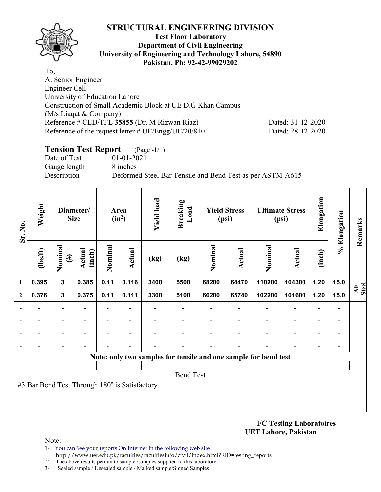

### **Test Floor Laboratory Department of Civil Engineering University of Engineering and Technology Lahore, 54890 Pakistan. Ph: 92-42-99029202**

To, A. Senior Engineer Engineer Cell University of Education Lahore Construction of Small Academic Block at UE D.G Khan Campus (M/s Liaqat & Company) Reference # CED/TFL **35855** (Dr. M Rizwan Riaz) Dated: 31-12-2020 Reference of the request letter # UE/Engg/UE/20/810 Dated: 28-12-2020

## **Tension Test Report** (Page -1/1) Date of Test 01-01-2021 Gauge length 8 inches Description Deformed Steel Bar Tensile and Bend Test as per ASTM-A615

| Sr. No.      | Weight                                        |                          | Diameter/<br><b>Size</b> |                          | Area<br>$(in^2)$         | <b>Yield load</b> | <b>Breaking</b><br>Load  |         | <b>Yield Stress</b><br>(psi) | <b>Ultimate Stress</b><br>(psi)                                 | Elongation               | % Elongation             | Remarks                      |             |
|--------------|-----------------------------------------------|--------------------------|--------------------------|--------------------------|--------------------------|-------------------|--------------------------|---------|------------------------------|-----------------------------------------------------------------|--------------------------|--------------------------|------------------------------|-------------|
| 1            | (1bs/ft)                                      | Nominal<br>$(\#)$        | Actual<br>(inch)         | Nominal                  | Actual                   | (kg)              | (kg)                     | Nominal | Actual                       | Nominal                                                         | <b>Actual</b>            | (inch)                   |                              |             |
|              | 0.395                                         | $\mathbf{3}$             | 0.385                    | 0.11                     | 0.116                    | 3400              | 5500                     | 68200   | 64470                        | 110200                                                          | 104300                   | 1.20                     | 15.0                         | AF<br>Steel |
| $\mathbf{2}$ | 0.376                                         | $\mathbf{3}$             | 0.375                    | 0.11                     | 0.111                    | 3300              | 5100                     | 66200   | 65740                        | 102200                                                          | 101600                   | 1.20                     | 15.0                         |             |
|              |                                               | $\overline{\phantom{0}}$ |                          | $\overline{\phantom{0}}$ |                          |                   |                          |         |                              |                                                                 | $\overline{\phantom{0}}$ | $\overline{\phantom{0}}$ | $\qquad \qquad \blacksquare$ |             |
|              | $\overline{\phantom{0}}$                      | $\overline{\phantom{a}}$ | $\overline{\phantom{a}}$ | -                        | $\overline{\phantom{a}}$ |                   | $\overline{\phantom{0}}$ |         |                              | $\overline{\phantom{0}}$                                        | $\overline{\phantom{a}}$ | $\overline{\phantom{0}}$ | $\qquad \qquad \blacksquare$ |             |
|              |                                               | $\overline{\phantom{0}}$ |                          |                          |                          |                   |                          |         |                              |                                                                 | ٠                        |                          | $\overline{a}$               |             |
|              |                                               | $\overline{\phantom{0}}$ |                          |                          |                          |                   |                          |         |                              |                                                                 |                          |                          | $\overline{a}$               |             |
|              |                                               |                          |                          |                          |                          |                   |                          |         |                              | Note: only two samples for tensile and one sample for bend test |                          |                          |                              |             |
|              |                                               |                          |                          |                          |                          |                   |                          |         |                              |                                                                 |                          |                          |                              |             |
|              |                                               |                          |                          |                          |                          |                   | <b>Bend Test</b>         |         |                              |                                                                 |                          |                          |                              |             |
|              | #3 Bar Bend Test Through 180° is Satisfactory |                          |                          |                          |                          |                   |                          |         |                              |                                                                 |                          |                          |                              |             |
|              |                                               |                          |                          |                          |                          |                   |                          |         |                              |                                                                 |                          |                          |                              |             |
|              |                                               |                          |                          |                          |                          |                   |                          |         |                              |                                                                 |                          |                          |                              |             |

**I/C Testing Laboratoires UET Lahore, Pakistan**.

Note:

- 1- You can See your reports On Internet in the following web site http://www.uet.edu.pk/faculties/facultiesinfo/civil/index.html?RID=testing\_reports
- 2. The above results pertain to sample /samples supplied to this laboratory.
- 3- Sealed sample / Unsealed sample / Marked sample/Signed Samples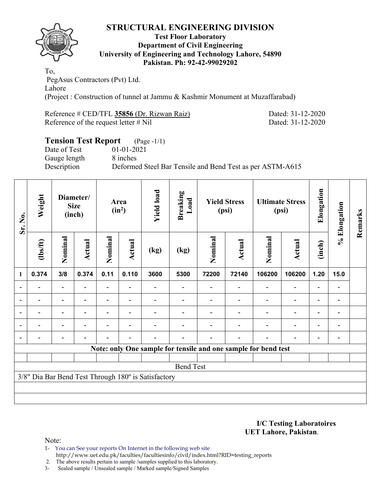

### **Test Floor Laboratory Department of Civil Engineering University of Engineering and Technology Lahore, 54890 Pakistan. Ph: 92-42-99029202**

To, PegAsus Contractors (Pvt) Ltd. Lahore (Project : Construction of tunnel at Jammu & Kashmir Monument at Muzaffarabad)

| Reference # CED/TFL 35856 (Dr. Rizwan Raiz) |  |  |
|---------------------------------------------|--|--|
| Reference of the request letter $\#$ Nil    |  |  |

Dated: 31-12-2020 Dated: 31-12-2020

# **Tension Test Report** (Page -1/1) Date of Test 01-01-2021 Gauge length 8 inches Description Deformed Steel Bar Tensile and Bend Test as per ASTM-A615

| Sr. No.                  | Weight                                              |                              | Diameter/<br><b>Size</b><br>(inch) |         | Area<br>$(in^2)$ | <b>Yield load</b> | <b>Breaking</b><br>Load                                        |         | <b>Yield Stress</b><br>(psi) | <b>Ultimate Stress</b><br>(psi) |                          | Elongation               | % Elongation             | Remarks |
|--------------------------|-----------------------------------------------------|------------------------------|------------------------------------|---------|------------------|-------------------|----------------------------------------------------------------|---------|------------------------------|---------------------------------|--------------------------|--------------------------|--------------------------|---------|
| $\mathbf{1}$             | (1bs/ft)                                            | Nominal                      | <b>Actual</b>                      | Nominal | Actual           | (kg)              | (kg)                                                           | Nominal | Actual                       | Nominal                         | Actual                   | (inch)                   |                          |         |
|                          | 0.374                                               | 3/8                          | 0.374                              | 0.11    | 0.110            | 3600              | 5300                                                           | 72200   | 72140                        | 106200                          | 106200                   | 1.20                     | 15.0                     |         |
|                          |                                                     | $\overline{\phantom{a}}$     |                                    |         |                  |                   |                                                                |         |                              |                                 | $\overline{\phantom{0}}$ | $\overline{\phantom{0}}$ | $\overline{\phantom{a}}$ |         |
| $\overline{\phantom{a}}$ |                                                     | $\overline{\phantom{0}}$     |                                    |         |                  |                   |                                                                |         |                              |                                 | -                        | $\overline{\phantom{0}}$ |                          |         |
| $\overline{\phantom{a}}$ |                                                     | $\qquad \qquad \blacksquare$ |                                    |         |                  |                   |                                                                |         |                              |                                 | $\overline{\phantom{a}}$ | $\overline{\phantom{0}}$ | $\overline{\phantom{a}}$ |         |
|                          |                                                     | $\overline{\phantom{0}}$     |                                    |         |                  |                   |                                                                |         |                              |                                 | $\overline{\phantom{0}}$ | $\overline{\phantom{0}}$ | $\overline{\phantom{0}}$ |         |
|                          |                                                     | $\overline{\phantom{0}}$     |                                    |         |                  |                   |                                                                |         |                              |                                 | $\overline{\phantom{0}}$ | $\overline{\phantom{0}}$ | $\overline{\phantom{0}}$ |         |
|                          |                                                     |                              |                                    |         |                  |                   | Note: only One sample for tensile and one sample for bend test |         |                              |                                 |                          |                          |                          |         |
|                          |                                                     |                              |                                    |         |                  |                   |                                                                |         |                              |                                 |                          |                          |                          |         |
|                          |                                                     |                              |                                    |         |                  |                   | <b>Bend Test</b>                                               |         |                              |                                 |                          |                          |                          |         |
|                          | 3/8" Dia Bar Bend Test Through 180° is Satisfactory |                              |                                    |         |                  |                   |                                                                |         |                              |                                 |                          |                          |                          |         |
|                          |                                                     |                              |                                    |         |                  |                   |                                                                |         |                              |                                 |                          |                          |                          |         |
|                          |                                                     |                              |                                    |         |                  |                   |                                                                |         |                              |                                 |                          |                          |                          |         |

#### **I/C Testing Laboratoires UET Lahore, Pakistan**.

Note:

1- You can See your reports On Internet in the following web site http://www.uet.edu.pk/faculties/facultiesinfo/civil/index.html?RID=testing\_reports

2. The above results pertain to sample /samples supplied to this laboratory.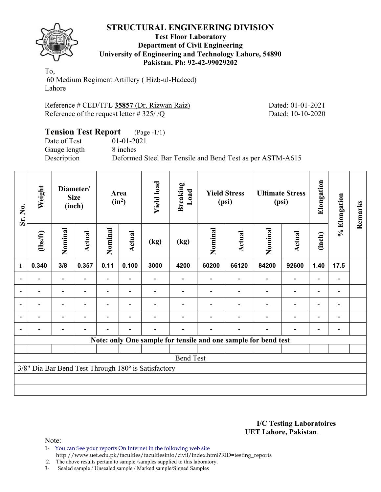

### **Test Floor Laboratory Department of Civil Engineering University of Engineering and Technology Lahore, 54890 Pakistan. Ph: 92-42-99029202**

To, 60 Medium Regiment Artillery ( Hizb-ul-Hadeed) Lahore

| Reference # CED/TFL 35857 (Dr. Rizwan Raiz)          |  |
|------------------------------------------------------|--|
| Reference of the request letter #325/ $\overline{Q}$ |  |

Dated: 01-01-2021 Dated: 10-10-2020

## **Tension Test Report** (Page -1/1) Date of Test 01-01-2021 Gauge length 8 inches Description Deformed Steel Bar Tensile and Bend Test as per ASTM-A615

| Sr. No.                  | Weight                                              | Diameter/<br><b>Size</b><br>(inch) |                          | Area<br>$(in^2)$ |                          | <b>Yield load</b> | <b>Breaking</b><br>Load  | <b>Yield Stress</b><br>(psi) |                                                                | <b>Ultimate Stress</b><br>(psi) |                          | Elongation               | % Elongation                 | Remarks |
|--------------------------|-----------------------------------------------------|------------------------------------|--------------------------|------------------|--------------------------|-------------------|--------------------------|------------------------------|----------------------------------------------------------------|---------------------------------|--------------------------|--------------------------|------------------------------|---------|
| 1                        | $\frac{2}{10}$                                      | Nominal                            | <b>Actual</b>            | Nominal          | <b>Actual</b>            | (kg)              | (kg)                     | Nominal                      | Actual                                                         | Nominal                         | Actual                   | (inch)                   |                              |         |
|                          | 0.340                                               | 3/8                                | 0.357                    | 0.11             | 0.100                    | 3000              | 4200                     | 60200                        | 66120                                                          | 84200                           | 92600                    | 1.40                     | 17.5                         |         |
| $\overline{\phantom{0}}$ | $\overline{\phantom{0}}$                            | $\overline{\phantom{0}}$           |                          | ٠                | $\overline{\phantom{a}}$ |                   | $\overline{\phantom{0}}$ |                              | $\overline{\phantom{0}}$                                       |                                 | $\overline{\phantom{a}}$ | $\overline{\phantom{0}}$ | $\qquad \qquad \blacksquare$ |         |
|                          |                                                     | $\blacksquare$                     |                          |                  |                          |                   |                          |                              |                                                                |                                 | $\overline{\phantom{0}}$ |                          |                              |         |
| $\blacksquare$           |                                                     | -                                  |                          |                  |                          |                   |                          |                              |                                                                |                                 |                          |                          | $\overline{a}$               |         |
| $\overline{\phantom{0}}$ | $\overline{\phantom{a}}$                            | $\overline{\phantom{0}}$           | $\overline{\phantom{0}}$ |                  | $\overline{\phantom{0}}$ |                   |                          |                              |                                                                |                                 | $\overline{\phantom{0}}$ | $\overline{\phantom{0}}$ | $\overline{\phantom{a}}$     |         |
| $\overline{\phantom{0}}$ | $\overline{a}$                                      | $\overline{\phantom{0}}$           |                          |                  | ٠                        |                   |                          |                              |                                                                |                                 | $\overline{\phantom{0}}$ | $\overline{\phantom{0}}$ | $\overline{\phantom{a}}$     |         |
|                          |                                                     |                                    |                          |                  |                          |                   |                          |                              | Note: only One sample for tensile and one sample for bend test |                                 |                          |                          |                              |         |
|                          |                                                     |                                    |                          |                  |                          |                   |                          |                              |                                                                |                                 |                          |                          |                              |         |
|                          | <b>Bend Test</b>                                    |                                    |                          |                  |                          |                   |                          |                              |                                                                |                                 |                          |                          |                              |         |
|                          | 3/8" Dia Bar Bend Test Through 180° is Satisfactory |                                    |                          |                  |                          |                   |                          |                              |                                                                |                                 |                          |                          |                              |         |
|                          |                                                     |                                    |                          |                  |                          |                   |                          |                              |                                                                |                                 |                          |                          |                              |         |
|                          |                                                     |                                    |                          |                  |                          |                   |                          |                              |                                                                |                                 |                          |                          |                              |         |

#### **I/C Testing Laboratoires UET Lahore, Pakistan**.

Note:

- 1- You can See your reports On Internet in the following web site http://www.uet.edu.pk/faculties/facultiesinfo/civil/index.html?RID=testing\_reports
- 2. The above results pertain to sample /samples supplied to this laboratory.
- 3- Sealed sample / Unsealed sample / Marked sample/Signed Samples